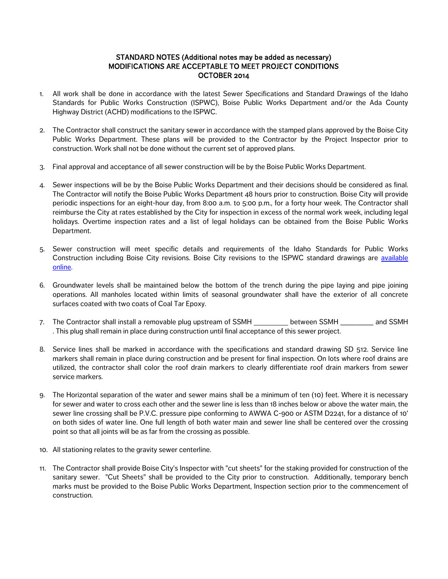## STANDARD NOTES (Additional notes may be added as necessary) MODIFICATIONS ARE ACCEPTABLE TO MEET PROJECT CONDITIONS OCTOBER 2014

- 1. All work shall be done in accordance with the latest Sewer Specifications and Standard Drawings of the Idaho Standards for Public Works Construction (ISPWC), Boise Public Works Department and/or the Ada County Highway District (ACHD) modifications to the ISPWC.
- 2. The Contractor shall construct the sanitary sewer in accordance with the stamped plans approved by the Boise City Public Works Department. These plans will be provided to the Contractor by the Project Inspector prior to construction. Work shall not be done without the current set of approved plans.
- 3. Final approval and acceptance of all sewer construction will be by the Boise Public Works Department.
- 4. Sewer inspections will be by the Boise Public Works Department and their decisions should be considered as final. The Contractor will notify the Boise Public Works Department 48 hours prior to construction. Boise City will provide periodic inspections for an eight-hour day, from 8:00 a.m. to 5:00 p.m., for a forty hour week. The Contractor shall reimburse the City at rates established by the City for inspection in excess of the normal work week, including legal holidays. Overtime inspection rates and a list of legal holidays can be obtained from the Boise Public Works Department.
- 5. Sewer construction will meet specific details and requirements of the Idaho Standards for Public Works Construction including Boise City revisions. Boise City revisions to the ISPWC standard drawings are [available](http://publicworks.cityofboise.org/development-permits-or-requirements/sanitary-sewer-notes/standard-drawings/)  [online.](http://publicworks.cityofboise.org/development-permits-or-requirements/sanitary-sewer-notes/standard-drawings/)
- 6. Groundwater levels shall be maintained below the bottom of the trench during the pipe laying and pipe joining operations. All manholes located within limits of seasonal groundwater shall have the exterior of all concrete surfaces coated with two coats of Coal Tar Epoxy.
- 7. The Contractor shall install a removable plug upstream of SSMH between SSMH and SSMH . This plug shall remain in place during construction until final acceptance of this sewer project.
- 8. Service lines shall be marked in accordance with the specifications and standard drawing SD 512. Service line markers shall remain in place during construction and be present for final inspection. On lots where roof drains are utilized, the contractor shall color the roof drain markers to clearly differentiate roof drain markers from sewer service markers.
- 9. The Horizontal separation of the water and sewer mains shall be a minimum of ten (10) feet. Where it is necessary for sewer and water to cross each other and the sewer line is less than 18 inches below or above the water main, the sewer line crossing shall be P.V.C. pressure pipe conforming to AWWA C-900 or ASTM D2241, for a distance of 10' on both sides of water line. One full length of both water main and sewer line shall be centered over the crossing point so that all joints will be as far from the crossing as possible.
- 10. All stationing relates to the gravity sewer centerline.
- 11. The Contractor shall provide Boise City's Inspector with "cut sheets" for the staking provided for construction of the sanitary sewer. "Cut Sheets" shall be provided to the City prior to construction. Additionally, temporary bench marks must be provided to the Boise Public Works Department, Inspection section prior to the commencement of construction.